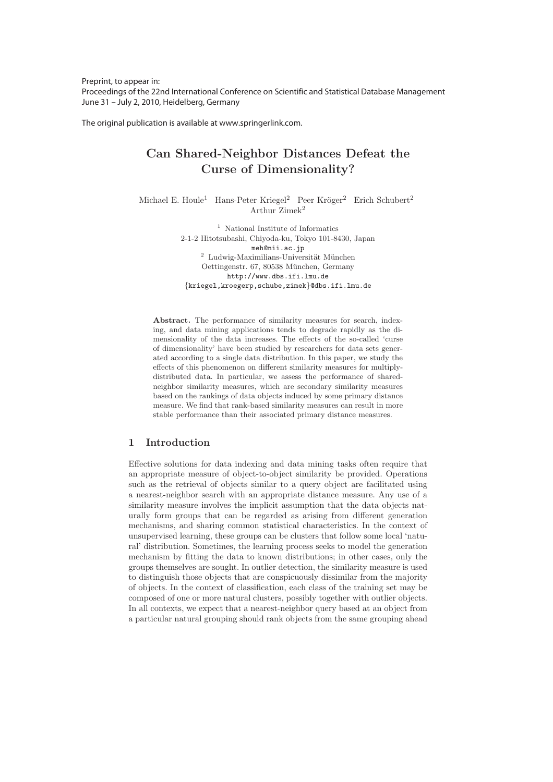Preprint, to appear in: Proceedings of the 22nd International Conference on Scientific and Statistical Database Management June 31 – July 2, 2010, Heidelberg, Germany

The original publication is available at www.springerlink.com.

# **Can Shared-Neighbor Distances Defeat the Curse of Dimensionality?**

Michael E. Houle<sup>1</sup> Hans-Peter Kriegel<sup>2</sup> Peer Kröger<sup>2</sup> Erich Schubert<sup>2</sup> Arthur Zimek<sup>2</sup>

> $^{\rm 1}$  National Institute of Informatics 2-1-2 Hitotsubashi, Chiyoda-ku, Tokyo 101-8430, Japan meh@nii.ac.jp  $^{\rm 2}$  Ludwig-Maximilians-Universität München Oettingenstr. 67, 80538 München, Germany http://www.dbs.ifi.lmu.de {kriegel,kroegerp,schube,zimek}@dbs.ifi.lmu.de

**Abstract.** The performance of similarity measures for search, indexing, and data mining applications tends to degrade rapidly as the dimensionality of the data increases. The effects of the so-called 'curse of dimensionality' have been studied by researchers for data sets generated according to a single data distribution. In this paper, we study the effects of this phenomenon on different similarity measures for multiplydistributed data. In particular, we assess the performance of sharedneighbor similarity measures, which are secondary similarity measures based on the rankings of data objects induced by some primary distance measure. We find that rank-based similarity measures can result in more stable performance than their associated primary distance measures.

# **1 Introduction**

Effective solutions for data indexing and data mining tasks often require that an appropriate measure of object-to-object similarity be provided. Operations such as the retrieval of objects similar to a query object are facilitated using a nearest-neighbor search with an appropriate distance measure. Any use of a similarity measure involves the implicit assumption that the data objects naturally form groups that can be regarded as arising from different generation mechanisms, and sharing common statistical characteristics. In the context of unsupervised learning, these groups can be clusters that follow some local 'natural' distribution. Sometimes, the learning process seeks to model the generation mechanism by fitting the data to known distributions; in other cases, only the groups themselves are sought. In outlier detection, the similarity measure is used to distinguish those objects that are conspicuously dissimilar from the majority of objects. In the context of classification, each class of the training set may be composed of one or more natural clusters, possibly together with outlier objects. In all contexts, we expect that a nearest-neighbor query based at an object from a particular natural grouping should rank objects from the same grouping ahead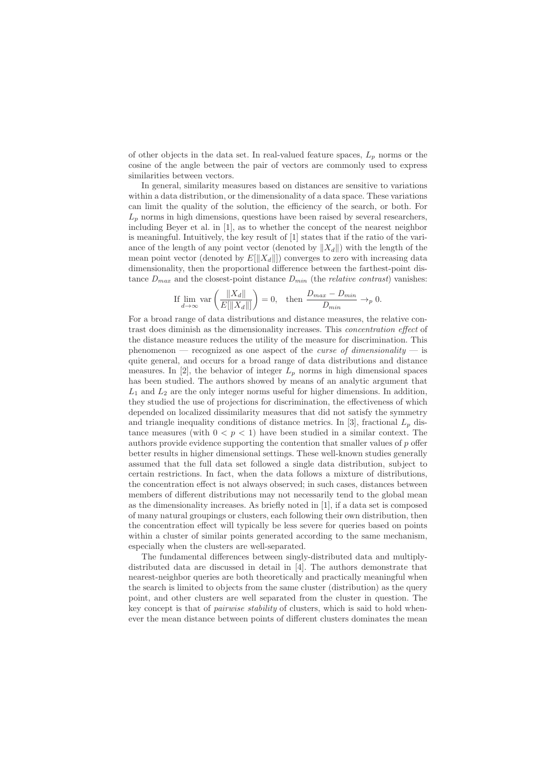of other objects in the data set. In real-valued feature spaces,  $L_p$  norms or the cosine of the angle between the pair of vectors are commonly used to express similarities between vectors.

In general, similarity measures based on distances are sensitive to variations within a data distribution, or the dimensionality of a data space. These variations can limit the quality of the solution, the efficiency of the search, or both. For  $L_p$  norms in high dimensions, questions have been raised by several researchers, including Beyer et al. in [1], as to whether the concept of the nearest neighbor is meaningful. Intuitively, the key result of [1] states that if the ratio of the variance of the length of any point vector (denoted by  $||X_d||$ ) with the length of the mean point vector (denoted by  $E[\|X_d\|])$  converges to zero with increasing data dimensionality, then the proportional difference between the farthest-point distance  $D_{max}$  and the closest-point distance  $D_{min}$  (the *relative contrast*) vanishes:

If 
$$
\lim_{d \to \infty}
$$
 var  $\left(\frac{||X_d||}{E[||X_d||]}\right) = 0$ , then  $\frac{D_{max} - D_{min}}{D_{min}} \to_p 0$ .

For a broad range of data distributions and distance measures, the relative contrast does diminish as the dimensionality increases. This *concentration effect* of the distance measure reduces the utility of the measure for discrimination. This phenomenon — recognized as one aspect of the *curse of dimensionality* — is quite general, and occurs for a broad range of data distributions and distance measures. In [2], the behavior of integer  $L_p$  norms in high dimensional spaces has been studied. The authors showed by means of an analytic argument that  $L_1$  and  $L_2$  are the only integer norms useful for higher dimensions. In addition, they studied the use of projections for discrimination, the effectiveness of which depended on localized dissimilarity measures that did not satisfy the symmetry and triangle inequality conditions of distance metrics. In [3], fractional  $L_p$  distance measures (with  $0 < p < 1$ ) have been studied in a similar context. The authors provide evidence supporting the contention that smaller values of  $p$  offer better results in higher dimensional settings. These well-known studies generally assumed that the full data set followed a single data distribution, subject to certain restrictions. In fact, when the data follows a mixture of distributions, the concentration effect is not always observed; in such cases, distances between members of different distributions may not necessarily tend to the global mean as the dimensionality increases. As briefly noted in [1], if a data set is composed of many natural groupings or clusters, each following their own distribution, then the concentration effect will typically be less severe for queries based on points within a cluster of similar points generated according to the same mechanism, especially when the clusters are well-separated.

The fundamental differences between singly-distributed data and multiplydistributed data are discussed in detail in [4]. The authors demonstrate that nearest-neighbor queries are both theoretically and practically meaningful when the search is limited to objects from the same cluster (distribution) as the query point, and other clusters are well separated from the cluster in question. The key concept is that of *pairwise stability* of clusters, which is said to hold whenever the mean distance between points of different clusters dominates the mean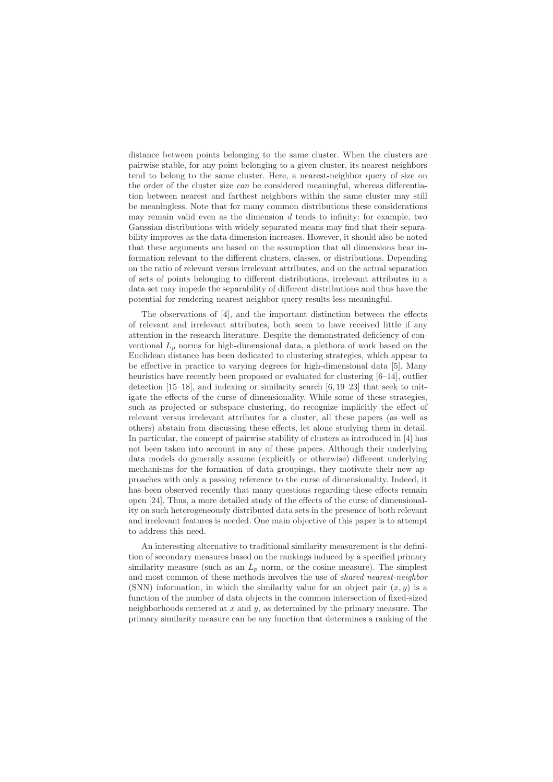distance between points belonging to the same cluster. When the clusters are pairwise stable, for any point belonging to a given cluster, its nearest neighbors tend to belong to the same cluster. Here, a nearest-neighbor query of size on the order of the cluster size *can* be considered meaningful, whereas differentiation between nearest and farthest neighbors within the same cluster may still be meaningless. Note that for many common distributions these considerations may remain valid even as the dimension  $d$  tends to infinity: for example, two Gaussian distributions with widely separated means may find that their separability improves as the data dimension increases. However, it should also be noted that these arguments are based on the assumption that all dimensions bear information relevant to the different clusters, classes, or distributions. Depending on the ratio of relevant versus irrelevant attributes, and on the actual separation of sets of points belonging to different distributions, irrelevant attributes in a data set may impede the separability of different distributions and thus have the potential for rendering nearest neighbor query results less meaningful.

The observations of [4], and the important distinction between the effects of relevant and irrelevant attributes, both seem to have received little if any attention in the research literature. Despite the demonstrated deficiency of conventional  $L_p$  norms for high-dimensional data, a plethora of work based on the Euclidean distance has been dedicated to clustering strategies, which appear to be effective in practice to varying degrees for high-dimensional data [5]. Many heuristics have recently been proposed or evaluated for clustering [6–14], outlier detection [15–18], and indexing or similarity search [6, 19–23] that seek to mitigate the effects of the curse of dimensionality. While some of these strategies, such as projected or subspace clustering, do recognize implicitly the effect of relevant versus irrelevant attributes for a cluster, all these papers (as well as others) abstain from discussing these effects, let alone studying them in detail. In particular, the concept of pairwise stability of clusters as introduced in [4] has not been taken into account in any of these papers. Although their underlying data models do generally assume (explicitly or otherwise) different underlying mechanisms for the formation of data groupings, they motivate their new approaches with only a passing reference to the curse of dimensionality. Indeed, it has been observed recently that many questions regarding these effects remain open [24]. Thus, a more detailed study of the effects of the curse of dimensionality on such heterogeneously distributed data sets in the presence of both relevant and irrelevant features is needed. One main objective of this paper is to attempt to address this need.

An interesting alternative to traditional similarity measurement is the definition of secondary measures based on the rankings induced by a specified primary similarity measure (such as an  $L_p$  norm, or the cosine measure). The simplest and most common of these methods involves the use of *shared nearest-neighbor* (SNN) information, in which the similarity value for an object pair  $(x, y)$  is a function of the number of data objects in the common intersection of fixed-sized neighborhoods centered at  $x$  and  $y$ , as determined by the primary measure. The primary similarity measure can be any function that determines a ranking of the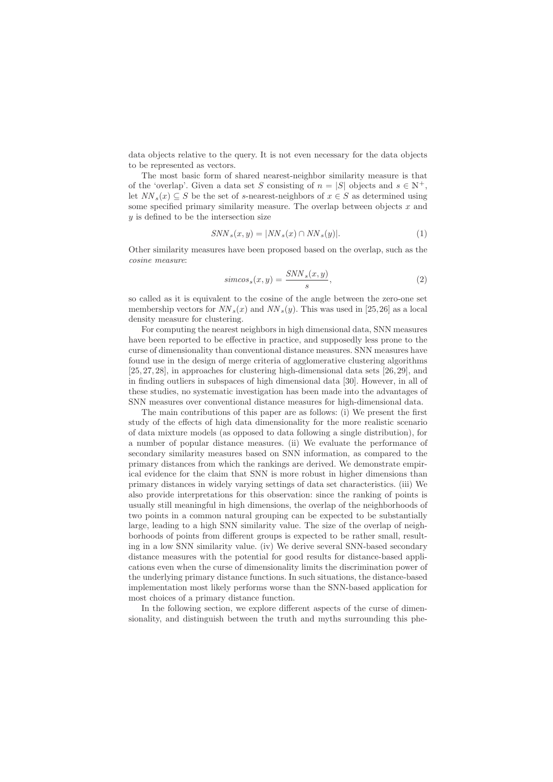data objects relative to the query. It is not even necessary for the data objects to be represented as vectors.

The most basic form of shared nearest-neighbor similarity measure is that of the 'overlap'. Given a data set S consisting of  $n = |S|$  objects and  $s \in \mathbb{N}^+,$ let  $NN_s(x) \subseteq S$  be the set of s-nearest-neighbors of  $x \in S$  as determined using some specified primary similarity measure. The overlap between objects  $x$  and  $y$  is defined to be the intersection size

$$
SNN_s(x,y) = |NN_s(x) \cap NN_s(y)|. \tag{1}
$$

Other similarity measures have been proposed based on the overlap, such as the *cosine measure*:

$$
simcoss(x, y) = \frac{SNNs(x, y)}{s},
$$
\n(2)

so called as it is equivalent to the cosine of the angle between the zero-one set membership vectors for  $NN_s(x)$  and  $NN_s(y)$ . This was used in [25,26] as a local density measure for clustering.

For computing the nearest neighbors in high dimensional data, SNN measures have been reported to be effective in practice, and supposedly less prone to the curse of dimensionality than conventional distance measures. SNN measures have found use in the design of merge criteria of agglomerative clustering algorithms [25, 27, 28], in approaches for clustering high-dimensional data sets [26, 29], and in finding outliers in subspaces of high dimensional data [30]. However, in all of these studies, no systematic investigation has been made into the advantages of SNN measures over conventional distance measures for high-dimensional data.

The main contributions of this paper are as follows: (i) We present the first study of the effects of high data dimensionality for the more realistic scenario of data mixture models (as opposed to data following a single distribution), for a number of popular distance measures. (ii) We evaluate the performance of secondary similarity measures based on SNN information, as compared to the primary distances from which the rankings are derived. We demonstrate empirical evidence for the claim that SNN is more robust in higher dimensions than primary distances in widely varying settings of data set characteristics. (iii) We also provide interpretations for this observation: since the ranking of points is usually still meaningful in high dimensions, the overlap of the neighborhoods of two points in a common natural grouping can be expected to be substantially large, leading to a high SNN similarity value. The size of the overlap of neighborhoods of points from different groups is expected to be rather small, resulting in a low SNN similarity value. (iv) We derive several SNN-based secondary distance measures with the potential for good results for distance-based applications even when the curse of dimensionality limits the discrimination power of the underlying primary distance functions. In such situations, the distance-based implementation most likely performs worse than the SNN-based application for most choices of a primary distance function.

In the following section, we explore different aspects of the curse of dimensionality, and distinguish between the truth and myths surrounding this phe-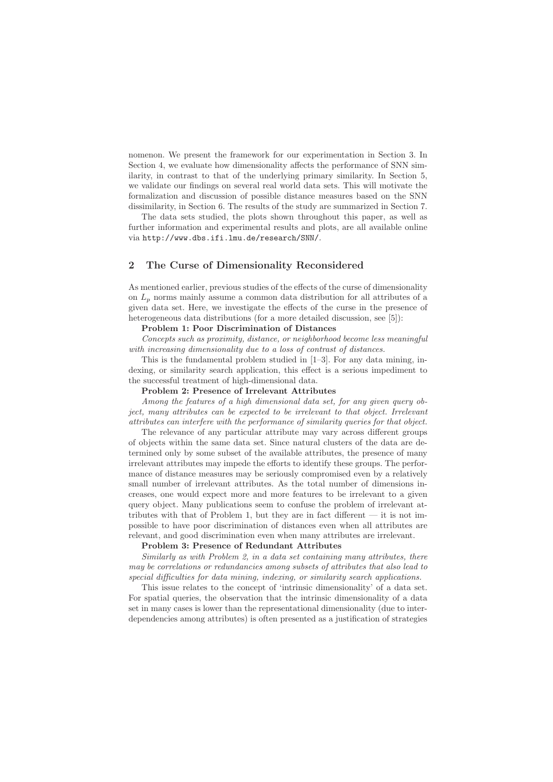nomenon. We present the framework for our experimentation in Section 3. In Section 4, we evaluate how dimensionality affects the performance of SNN similarity, in contrast to that of the underlying primary similarity. In Section 5, we validate our findings on several real world data sets. This will motivate the formalization and discussion of possible distance measures based on the SNN dissimilarity, in Section 6. The results of the study are summarized in Section 7.

The data sets studied, the plots shown throughout this paper, as well as further information and experimental results and plots, are all available online via http://www.dbs.ifi.lmu.de/research/SNN/.

#### **2 The Curse of Dimensionality Reconsidered**

As mentioned earlier, previous studies of the effects of the curse of dimensionality on  $L_p$  norms mainly assume a common data distribution for all attributes of a given data set. Here, we investigate the effects of the curse in the presence of heterogeneous data distributions (for a more detailed discussion, see [5]):

#### **Problem 1: Poor Discrimination of Distances**

*Concepts such as proximity, distance, or neighborhood become less meaningful with increasing dimensionality due to a loss of contrast of distances.*

This is the fundamental problem studied in [1–3]. For any data mining, indexing, or similarity search application, this effect is a serious impediment to the successful treatment of high-dimensional data.

# **Problem 2: Presence of Irrelevant Attributes**

*Among the features of a high dimensional data set, for any given query object, many attributes can be expected to be irrelevant to that object. Irrelevant attributes can interfere with the performance of similarity queries for that object.*

The relevance of any particular attribute may vary across different groups of objects within the same data set. Since natural clusters of the data are determined only by some subset of the available attributes, the presence of many irrelevant attributes may impede the efforts to identify these groups. The performance of distance measures may be seriously compromised even by a relatively small number of irrelevant attributes. As the total number of dimensions increases, one would expect more and more features to be irrelevant to a given query object. Many publications seem to confuse the problem of irrelevant attributes with that of Problem 1, but they are in fact different — it is not impossible to have poor discrimination of distances even when all attributes are relevant, and good discrimination even when many attributes are irrelevant.

#### **Problem 3: Presence of Redundant Attributes**

*Similarly as with Problem 2, in a data set containing many attributes, there may be correlations or redundancies among subsets of attributes that also lead to special difficulties for data mining, indexing, or similarity search applications.*

This issue relates to the concept of 'intrinsic dimensionality' of a data set. For spatial queries, the observation that the intrinsic dimensionality of a data set in many cases is lower than the representational dimensionality (due to interdependencies among attributes) is often presented as a justification of strategies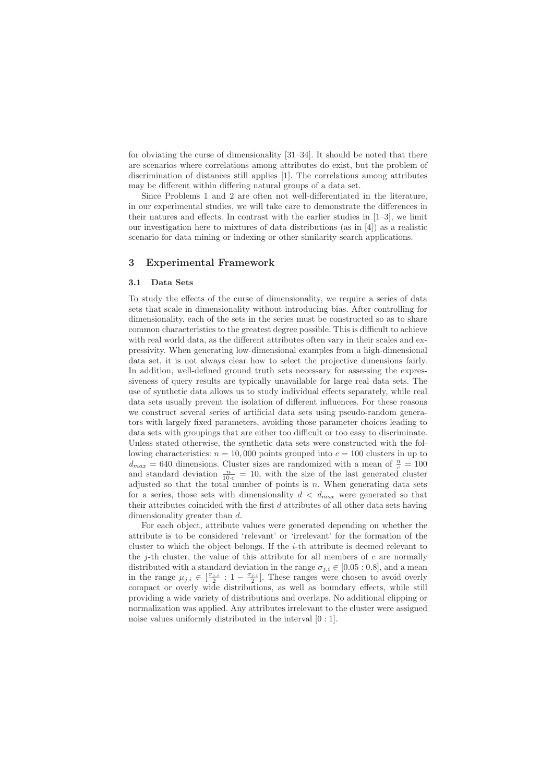for obviating the curse of dimensionality [31–34]. It should be noted that there are scenarios where correlations among attributes do exist, but the problem of discrimination of distances still applies [1]. The correlations among attributes may be different within differing natural groups of a data set.

Since Problems 1 and 2 are often not well-differentiated in the literature, in our experimental studies, we will take care to demonstrate the differences in their natures and effects. In contrast with the earlier studies in [1–3], we limit our investigation here to mixtures of data distributions (as in [4]) as a realistic scenario for data mining or indexing or other similarity search applications.

# **3 Experimental Framework**

#### **3.1 Data Sets**

To study the effects of the curse of dimensionality, we require a series of data sets that scale in dimensionality without introducing bias. After controlling for dimensionality, each of the sets in the series must be constructed so as to share common characteristics to the greatest degree possible. This is difficult to achieve with real world data, as the different attributes often vary in their scales and expressivity. When generating low-dimensional examples from a high-dimensional data set, it is not always clear how to select the projective dimensions fairly. In addition, well-defined ground truth sets necessary for assessing the expressiveness of query results are typically unavailable for large real data sets. The use of synthetic data allows us to study individual effects separately, while real data sets usually prevent the isolation of different influences. For these reasons we construct several series of artificial data sets using pseudo-random generators with largely fixed parameters, avoiding those parameter choices leading to data sets with groupings that are either too difficult or too easy to discriminate. Unless stated otherwise, the synthetic data sets were constructed with the following characteristics:  $n = 10,000$  points grouped into  $c = 100$  clusters in up to  $d_{max} = 640$  dimensions. Cluster sizes are randomized with a mean of  $\frac{n}{c} = 100$ and standard deviation  $\frac{n}{10 \cdot c} = 10$ , with the size of the last generated cluster adjusted so that the total number of points is  $n$ . When generating data sets for a series, those sets with dimensionality  $d < d_{max}$  were generated so that their attributes coincided with the first  $d$  attributes of all other data sets having dimensionality greater than d.

For each object, attribute values were generated depending on whether the attribute is to be considered 'relevant' or 'irrelevant' for the formation of the cluster to which the object belongs. If the  $i$ -th attribute is deemed relevant to the  $j$ -th cluster, the value of this attribute for all members of  $c$  are normally distributed with a standard deviation in the range  $\sigma_{i,i} \in [0.05:0.8]$ , and a mean in the range  $\mu_{j,i} \in \left[\frac{\sigma_{j,i}}{2}:1-\frac{\sigma_{j,i}}{2}\right]$ . These ranges were chosen to avoid overly compact or overly wide distributions, as well as boundary effects, while still providing a wide variety of distributions and overlaps. No additional clipping or normalization was applied. Any attributes irrelevant to the cluster were assigned noise values uniformly distributed in the interval [0 : 1].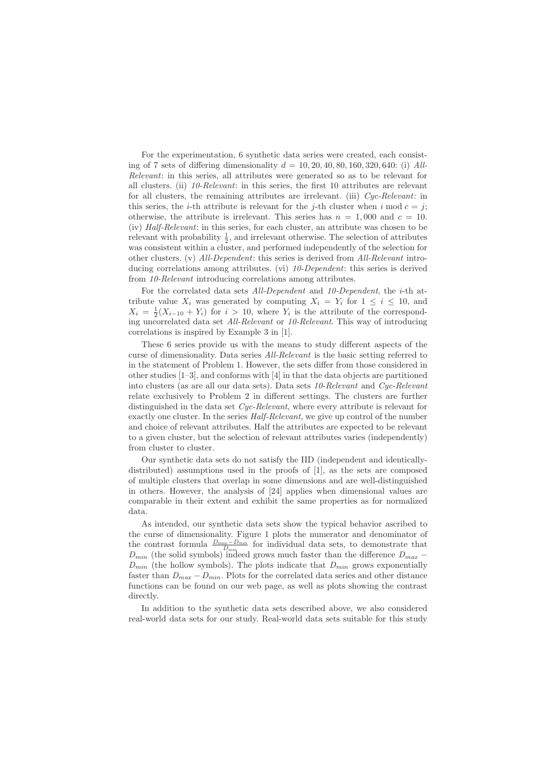For the experimentation, 6 synthetic data series were created, each consisting of 7 sets of differing dimensionality d = 10, 20, 40, 80, 160, 320, 640: (i) *All-Relevant*: in this series, all attributes were generated so as to be relevant for all clusters. (ii) *10-Relevant*: in this series, the first 10 attributes are relevant for all clusters, the remaining attributes are irrelevant. (iii) *Cyc-Relevant*: in this series, the *i*-th attribute is relevant for the *j*-th cluster when *i* mod  $c = j$ ; otherwise, the attribute is irrelevant. This series has  $n = 1,000$  and  $c = 10$ . (iv) *Half-Relevant*: in this series, for each cluster, an attribute was chosen to be relevant with probability  $\frac{1}{2}$ , and irrelevant otherwise. The selection of attributes was consistent within a cluster, and performed independently of the selection for other clusters. (v) *All-Dependent*: this series is derived from *All-Relevant* introducing correlations among attributes. (vi) *10-Dependent*: this series is derived from *10-Relevant* introducing correlations among attributes.

For the correlated data sets *All-Dependent* and *10-Dependent*, the i-th attribute value  $X_i$  was generated by computing  $X_i = Y_i$  for  $1 \leq i \leq 10$ , and  $X_i = \frac{1}{2}(X_{i-10} + Y_i)$  for  $i > 10$ , where  $Y_i$  is the attribute of the corresponding uncorrelated data set *All-Relevant* or *10-Relevant*. This way of introducing correlations is inspired by Example 3 in [1].

These 6 series provide us with the means to study different aspects of the curse of dimensionality. Data series *All-Relevant* is the basic setting referred to in the statement of Problem 1. However, the sets differ from those considered in other studies [1–3], and conforms with [4] in that the data objects are partitioned into clusters (as are all our data sets). Data sets *10-Relevant* and *Cyc-Relevant* relate exclusively to Problem 2 in different settings. The clusters are further distinguished in the data set *Cyc-Relevant*, where every attribute is relevant for exactly one cluster. In the series *Half-Relevant*, we give up control of the number and choice of relevant attributes. Half the attributes are expected to be relevant to a given cluster, but the selection of relevant attributes varies (independently) from cluster to cluster.

Our synthetic data sets do not satisfy the IID (independent and identicallydistributed) assumptions used in the proofs of [1], as the sets are composed of multiple clusters that overlap in some dimensions and are well-distinguished in others. However, the analysis of [24] applies when dimensional values are comparable in their extent and exhibit the same properties as for normalized data.

As intended, our synthetic data sets show the typical behavior ascribed to the curse of dimensionality. Figure 1 plots the numerator and denominator of the contrast formula  $\frac{D_{max} - D_{min}}{D_{min}}$  for individual data sets, to demonstrate that  $D_{min}$  (the solid symbols) indeed grows much faster than the difference  $D_{max}$  −  $D_{min}$  (the hollow symbols). The plots indicate that  $D_{min}$  grows exponentially faster than  $D_{max} - D_{min}$ . Plots for the correlated data series and other distance functions can be found on our web page, as well as plots showing the contrast directly.

In addition to the synthetic data sets described above, we also considered real-world data sets for our study. Real-world data sets suitable for this study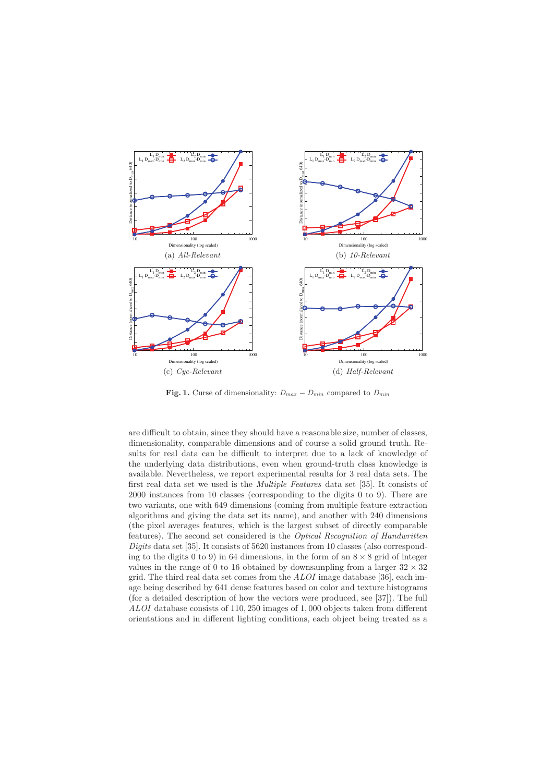

**Fig. 1.** Curse of dimensionality:  $D_{max} - D_{min}$  compared to  $D_{min}$ 

are difficult to obtain, since they should have a reasonable size, number of classes, dimensionality, comparable dimensions and of course a solid ground truth. Results for real data can be difficult to interpret due to a lack of knowledge of the underlying data distributions, even when ground-truth class knowledge is available. Nevertheless, we report experimental results for 3 real data sets. The first real data set we used is the *Multiple Features* data set [35]. It consists of 2000 instances from 10 classes (corresponding to the digits 0 to 9). There are two variants, one with 649 dimensions (coming from multiple feature extraction algorithms and giving the data set its name), and another with 240 dimensions (the pixel averages features, which is the largest subset of directly comparable features). The second set considered is the *Optical Recognition of Handwritten Digits* data set [35]. It consists of 5620 instances from 10 classes (also corresponding to the digits 0 to 9) in 64 dimensions, in the form of an  $8 \times 8$  grid of integer values in the range of 0 to 16 obtained by downsampling from a larger  $32 \times 32$ grid. The third real data set comes from the *ALOI* image database [36], each image being described by 641 dense features based on color and texture histograms (for a detailed description of how the vectors were produced, see [37]). The full *ALOI* database consists of 110, 250 images of 1, 000 objects taken from different orientations and in different lighting conditions, each object being treated as a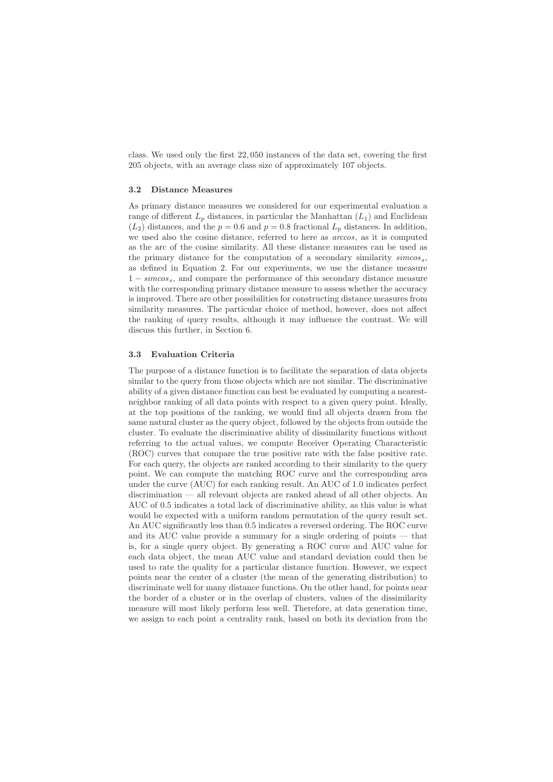class. We used only the first 22, 050 instances of the data set, covering the first 205 objects, with an average class size of approximately 107 objects.

#### **3.2 Distance Measures**

As primary distance measures we considered for our experimental evaluation a range of different  $L_p$  distances, in particular the Manhattan  $(L_1)$  and Euclidean  $(L_2)$  distances, and the  $p = 0.6$  and  $p = 0.8$  fractional  $L_p$  distances. In addition, we used also the cosine distance, referred to here as *arccos*, as it is computed as the arc of the cosine similarity. All these distance measures can be used as the primary distance for the computation of a secondary similarity  $\text{sim} \cos s$ , as defined in Equation 2. For our experiments, we use the distance measure 1 − *simcos*s, and compare the performance of this secondary distance measure with the corresponding primary distance measure to assess whether the accuracy is improved. There are other possibilities for constructing distance measures from similarity measures. The particular choice of method, however, does not affect the ranking of query results, although it may influence the contrast. We will discuss this further, in Section 6.

#### **3.3 Evaluation Criteria**

The purpose of a distance function is to facilitate the separation of data objects similar to the query from those objects which are not similar. The discriminative ability of a given distance function can best be evaluated by computing a nearestneighbor ranking of all data points with respect to a given query point. Ideally, at the top positions of the ranking, we would find all objects drawn from the same natural cluster as the query object, followed by the objects from outside the cluster. To evaluate the discriminative ability of dissimilarity functions without referring to the actual values, we compute Receiver Operating Characteristic (ROC) curves that compare the true positive rate with the false positive rate. For each query, the objects are ranked according to their similarity to the query point. We can compute the matching ROC curve and the corresponding area under the curve (AUC) for each ranking result. An AUC of 1.0 indicates perfect discrimination — all relevant objects are ranked ahead of all other objects. An AUC of 0.5 indicates a total lack of discriminative ability, as this value is what would be expected with a uniform random permutation of the query result set. An AUC significantly less than 0.5 indicates a reversed ordering. The ROC curve and its AUC value provide a summary for a single ordering of points — that is, for a single query object. By generating a ROC curve and AUC value for each data object, the mean AUC value and standard deviation could then be used to rate the quality for a particular distance function. However, we expect points near the center of a cluster (the mean of the generating distribution) to discriminate well for many distance functions. On the other hand, for points near the border of a cluster or in the overlap of clusters, values of the dissimilarity measure will most likely perform less well. Therefore, at data generation time, we assign to each point a centrality rank, based on both its deviation from the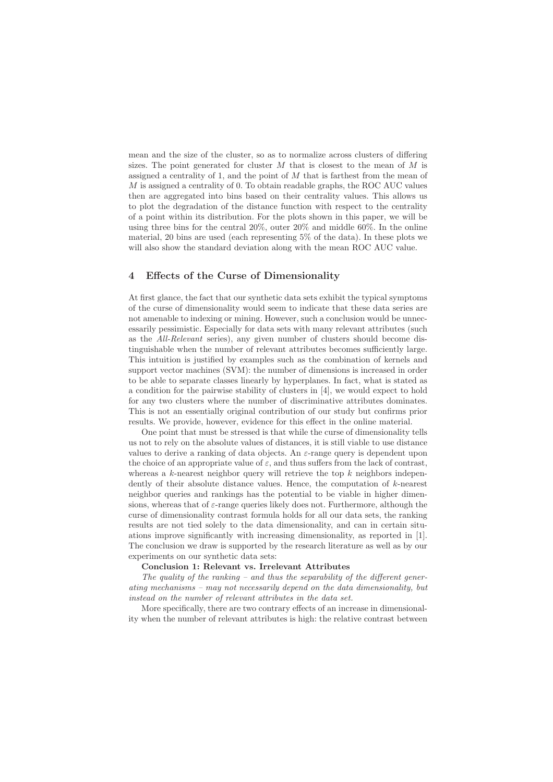mean and the size of the cluster, so as to normalize across clusters of differing sizes. The point generated for cluster  $M$  that is closest to the mean of  $M$  is assigned a centrality of 1, and the point of  $M$  that is farthest from the mean of M is assigned a centrality of 0. To obtain readable graphs, the ROC AUC values then are aggregated into bins based on their centrality values. This allows us to plot the degradation of the distance function with respect to the centrality of a point within its distribution. For the plots shown in this paper, we will be using three bins for the central 20%, outer 20% and middle 60%. In the online material, 20 bins are used (each representing 5% of the data). In these plots we will also show the standard deviation along with the mean ROC AUC value.

#### **4 Effects of the Curse of Dimensionality**

At first glance, the fact that our synthetic data sets exhibit the typical symptoms of the curse of dimensionality would seem to indicate that these data series are not amenable to indexing or mining. However, such a conclusion would be unnecessarily pessimistic. Especially for data sets with many relevant attributes (such as the *All-Relevant* series), any given number of clusters should become distinguishable when the number of relevant attributes becomes sufficiently large. This intuition is justified by examples such as the combination of kernels and support vector machines (SVM): the number of dimensions is increased in order to be able to separate classes linearly by hyperplanes. In fact, what is stated as a condition for the pairwise stability of clusters in [4], we would expect to hold for any two clusters where the number of discriminative attributes dominates. This is not an essentially original contribution of our study but confirms prior results. We provide, however, evidence for this effect in the online material.

One point that must be stressed is that while the curse of dimensionality tells us not to rely on the absolute values of distances, it is still viable to use distance values to derive a ranking of data objects. An  $\varepsilon$ -range query is dependent upon the choice of an appropriate value of  $\varepsilon$ , and thus suffers from the lack of contrast, whereas a k-nearest neighbor query will retrieve the top  $k$  neighbors independently of their absolute distance values. Hence, the computation of k-nearest neighbor queries and rankings has the potential to be viable in higher dimensions, whereas that of  $\varepsilon$ -range queries likely does not. Furthermore, although the curse of dimensionality contrast formula holds for all our data sets, the ranking results are not tied solely to the data dimensionality, and can in certain situations improve significantly with increasing dimensionality, as reported in [1]. The conclusion we draw is supported by the research literature as well as by our experiments on our synthetic data sets:

# **Conclusion 1: Relevant vs. Irrelevant Attributes**

*The quality of the ranking – and thus the separability of the different generating mechanisms – may not necessarily depend on the data dimensionality, but instead on the number of relevant attributes in the data set.*

More specifically, there are two contrary effects of an increase in dimensionality when the number of relevant attributes is high: the relative contrast between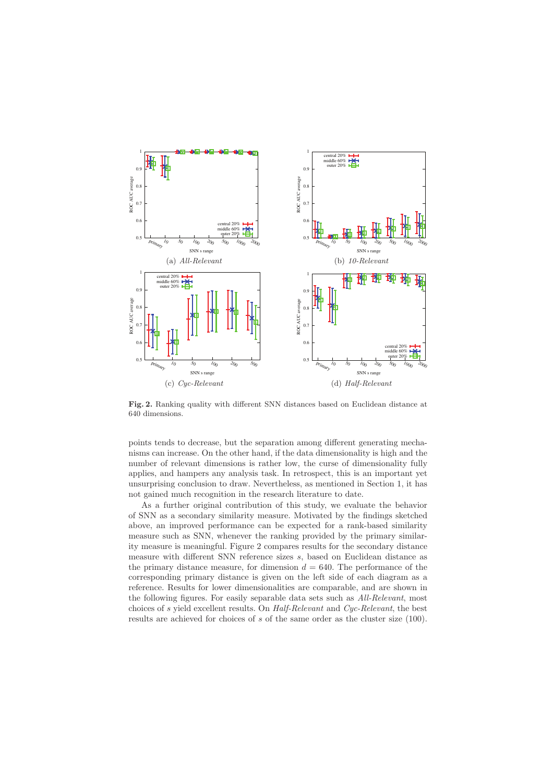

**Fig. 2.** Ranking quality with different SNN distances based on Euclidean distance at 640 dimensions.

points tends to decrease, but the separation among different generating mechanisms can increase. On the other hand, if the data dimensionality is high and the number of relevant dimensions is rather low, the curse of dimensionality fully applies, and hampers any analysis task. In retrospect, this is an important yet unsurprising conclusion to draw. Nevertheless, as mentioned in Section 1, it has not gained much recognition in the research literature to date.

As a further original contribution of this study, we evaluate the behavior of SNN as a secondary similarity measure. Motivated by the findings sketched above, an improved performance can be expected for a rank-based similarity measure such as SNN, whenever the ranking provided by the primary similarity measure is meaningful. Figure 2 compares results for the secondary distance measure with different SNN reference sizes s, based on Euclidean distance as the primary distance measure, for dimension  $d = 640$ . The performance of the corresponding primary distance is given on the left side of each diagram as a reference. Results for lower dimensionalities are comparable, and are shown in the following figures. For easily separable data sets such as *All-Relevant*, most choices of s yield excellent results. On *Half-Relevant* and *Cyc-Relevant*, the best results are achieved for choices of s of the same order as the cluster size (100).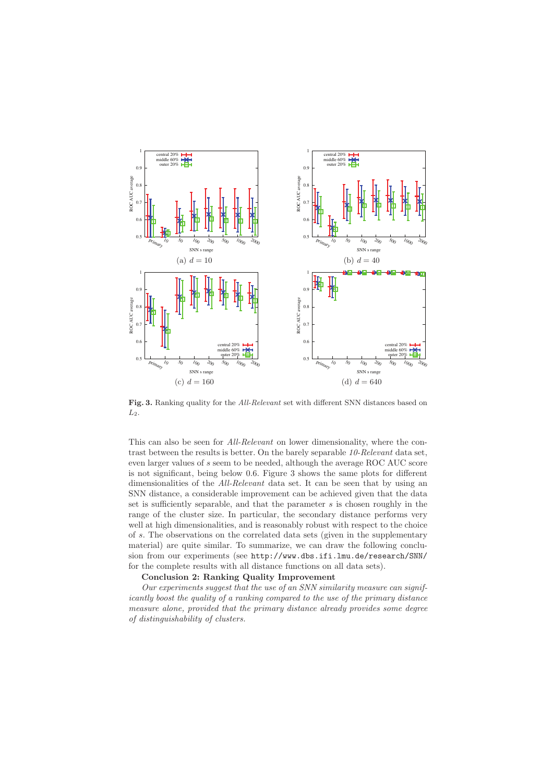

Fig. 3. Ranking quality for the *All-Relevant* set with different SNN distances based on  $L_2$ .

This can also be seen for *All-Relevant* on lower dimensionality, where the contrast between the results is better. On the barely separable *10-Relevant* data set, even larger values of s seem to be needed, although the average ROC AUC score is not significant, being below 0.6. Figure 3 shows the same plots for different dimensionalities of the *All-Relevant* data set. It can be seen that by using an SNN distance, a considerable improvement can be achieved given that the data set is sufficiently separable, and that the parameter s is chosen roughly in the range of the cluster size. In particular, the secondary distance performs very well at high dimensionalities, and is reasonably robust with respect to the choice of s. The observations on the correlated data sets (given in the supplementary material) are quite similar. To summarize, we can draw the following conclusion from our experiments (see http://www.dbs.ifi.lmu.de/research/SNN/ for the complete results with all distance functions on all data sets).

#### **Conclusion 2: Ranking Quality Improvement**

*Our experiments suggest that the use of an SNN similarity measure can significantly boost the quality of a ranking compared to the use of the primary distance measure alone, provided that the primary distance already provides some degree of distinguishability of clusters.*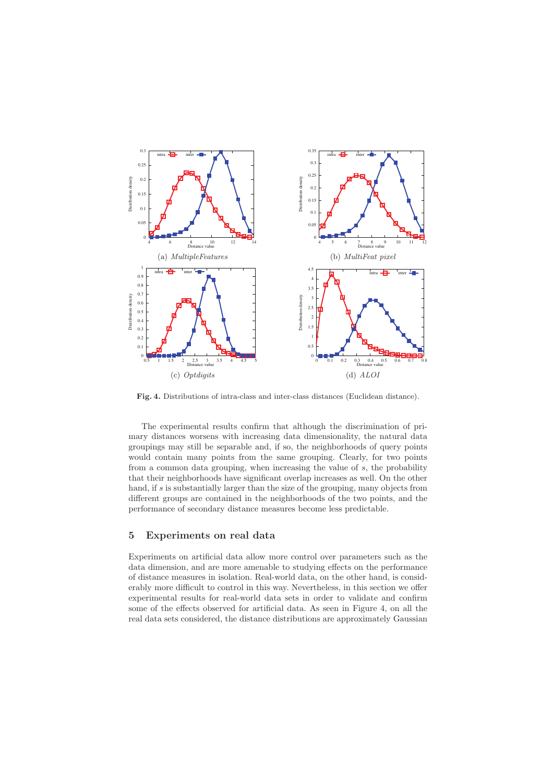

**Fig. 4.** Distributions of intra-class and inter-class distances (Euclidean distance).

The experimental results confirm that although the discrimination of primary distances worsens with increasing data dimensionality, the natural data groupings may still be separable and, if so, the neighborhoods of query points would contain many points from the same grouping. Clearly, for two points from a common data grouping, when increasing the value of  $s$ , the probability that their neighborhoods have significant overlap increases as well. On the other hand, if s is substantially larger than the size of the grouping, many objects from different groups are contained in the neighborhoods of the two points, and the performance of secondary distance measures become less predictable.

## **5 Experiments on real data**

Experiments on artificial data allow more control over parameters such as the data dimension, and are more amenable to studying effects on the performance of distance measures in isolation. Real-world data, on the other hand, is considerably more difficult to control in this way. Nevertheless, in this section we offer experimental results for real-world data sets in order to validate and confirm some of the effects observed for artificial data. As seen in Figure 4, on all the real data sets considered, the distance distributions are approximately Gaussian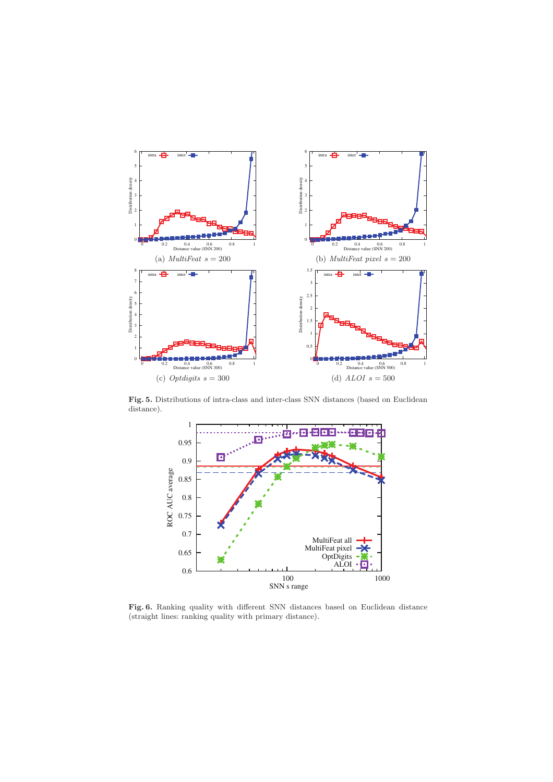

**Fig. 5.** Distributions of intra-class and inter-class SNN distances (based on Euclidean distance).



**Fig. 6.** Ranking quality with different SNN distances based on Euclidean distance (straight lines: ranking quality with primary distance).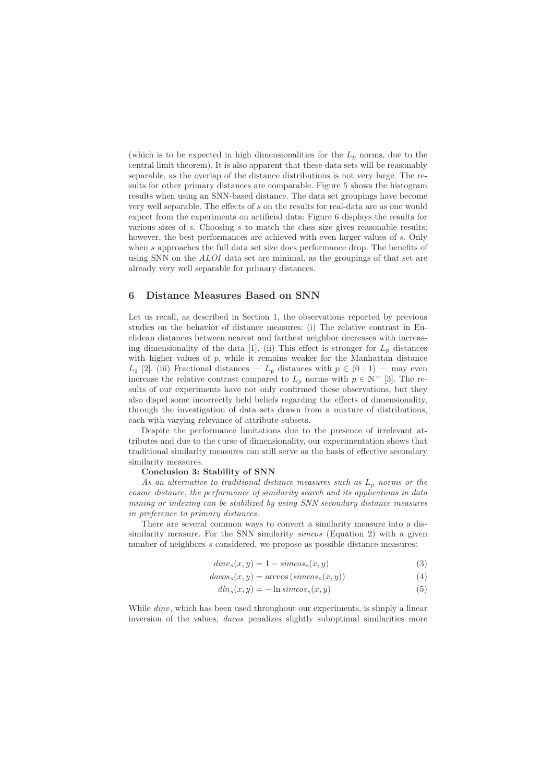(which is to be expected in high dimensionalities for the  $L_p$  norms, due to the central limit theorem). It is also apparent that these data sets will be reasonably separable, as the overlap of the distance distributions is not very large. The results for other primary distances are comparable. Figure 5 shows the histogram results when using an SNN-based distance. The data set groupings have become very well separable. The effects of s on the results for real-data are as one would expect from the experiments on artificial data: Figure 6 displays the results for various sizes of  $s$ . Choosing  $s$  to match the class size gives reasonable results; however, the best performances are achieved with even larger values of s. Only when s approaches the full data set size does performance drop. The benefits of using SNN on the *ALOI* data set are minimal, as the groupings of that set are already very well separable for primary distances.

#### **6 Distance Measures Based on SNN**

Let us recall, as described in Section 1, the observations reported by previous studies on the behavior of distance measures: (i) The relative contrast in Euclidean distances between nearest and farthest neighbor decreases with increasing dimensionality of the data [1]. (ii) This effect is stronger for  $L_p$  distances with higher values of p, while it remains weaker for the Manhattan distance  $L_1$  [2]. (iii) Fractional distances —  $L_p$  distances with  $p \in (0:1)$  — may even increase the relative contrast compared to  $L_p$  norms with  $p \in \mathbb{N}^+$  [3]. The results of our experiments have not only confirmed these observations, but they also dispel some incorrectly held beliefs regarding the effects of dimensionality, through the investigation of data sets drawn from a mixture of distributions, each with varying relevance of attribute subsets.

Despite the performance limitations due to the presence of irrelevant attributes and due to the curse of dimensionality, our experimentation shows that traditional similarity measures can still serve as the basis of effective secondary similarity measures.

#### **Conclusion 3: Stability of SNN**

*As an alternative to traditional distance measures such as* L<sup>p</sup> *norms or the cosine distance, the performance of similarity search and its applications in data mining or indexing can be stabilized by using SNN secondary distance measures in preference to primary distances.*

There are several common ways to convert a similarity measure into a dissimilarity measure. For the SNN similarity *simcos* (Equation 2) with a given number of neighbors s considered, we propose as possible distance measures:

$$
dinv_s(x, y) = 1 - simcos_s(x, y)
$$
\n(3)

$$
dacoss(x, y) = \arccos(simcoss(x, y))
$$
\n(4)

$$
dln_s(x, y) = -ln\,sim\,, (x, y)
$$
\n<sup>(5)</sup>

While *dinv*, which has been used throughout our experiments, is simply a linear inversion of the values, *dacos* penalizes slightly suboptimal similarities more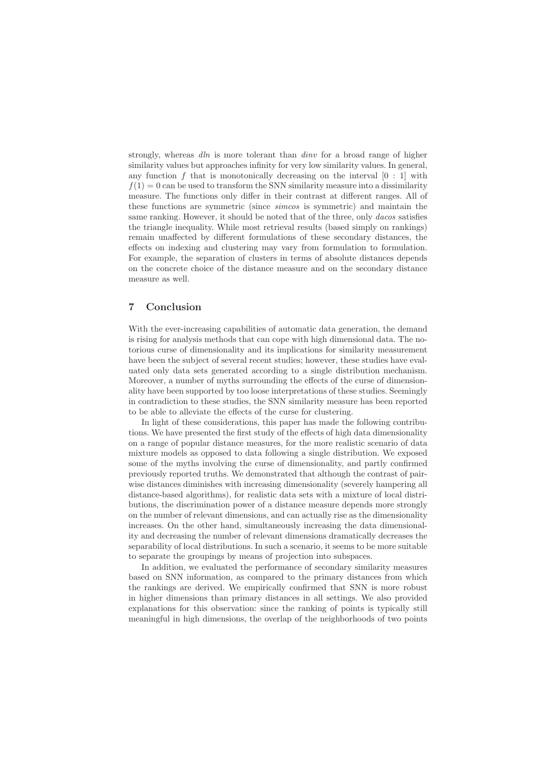strongly, whereas *dln* is more tolerant than *dinv* for a broad range of higher similarity values but approaches infinity for very low similarity values. In general, any function f that is monotonically decreasing on the interval  $[0:1]$  with  $f(1) = 0$  can be used to transform the SNN similarity measure into a dissimilarity measure. The functions only differ in their contrast at different ranges. All of these functions are symmetric (since *simcos* is symmetric) and maintain the same ranking. However, it should be noted that of the three, only *dacos* satisfies the triangle inequality. While most retrieval results (based simply on rankings) remain unaffected by different formulations of these secondary distances, the effects on indexing and clustering may vary from formulation to formulation. For example, the separation of clusters in terms of absolute distances depends on the concrete choice of the distance measure and on the secondary distance measure as well.

# **7 Conclusion**

With the ever-increasing capabilities of automatic data generation, the demand is rising for analysis methods that can cope with high dimensional data. The notorious curse of dimensionality and its implications for similarity measurement have been the subject of several recent studies; however, these studies have evaluated only data sets generated according to a single distribution mechanism. Moreover, a number of myths surrounding the effects of the curse of dimensionality have been supported by too loose interpretations of these studies. Seemingly in contradiction to these studies, the SNN similarity measure has been reported to be able to alleviate the effects of the curse for clustering.

In light of these considerations, this paper has made the following contributions. We have presented the first study of the effects of high data dimensionality on a range of popular distance measures, for the more realistic scenario of data mixture models as opposed to data following a single distribution. We exposed some of the myths involving the curse of dimensionality, and partly confirmed previously reported truths. We demonstrated that although the contrast of pairwise distances diminishes with increasing dimensionality (severely hampering all distance-based algorithms), for realistic data sets with a mixture of local distributions, the discrimination power of a distance measure depends more strongly on the number of relevant dimensions, and can actually rise as the dimensionality increases. On the other hand, simultaneously increasing the data dimensionality and decreasing the number of relevant dimensions dramatically decreases the separability of local distributions. In such a scenario, it seems to be more suitable to separate the groupings by means of projection into subspaces.

In addition, we evaluated the performance of secondary similarity measures based on SNN information, as compared to the primary distances from which the rankings are derived. We empirically confirmed that SNN is more robust in higher dimensions than primary distances in all settings. We also provided explanations for this observation: since the ranking of points is typically still meaningful in high dimensions, the overlap of the neighborhoods of two points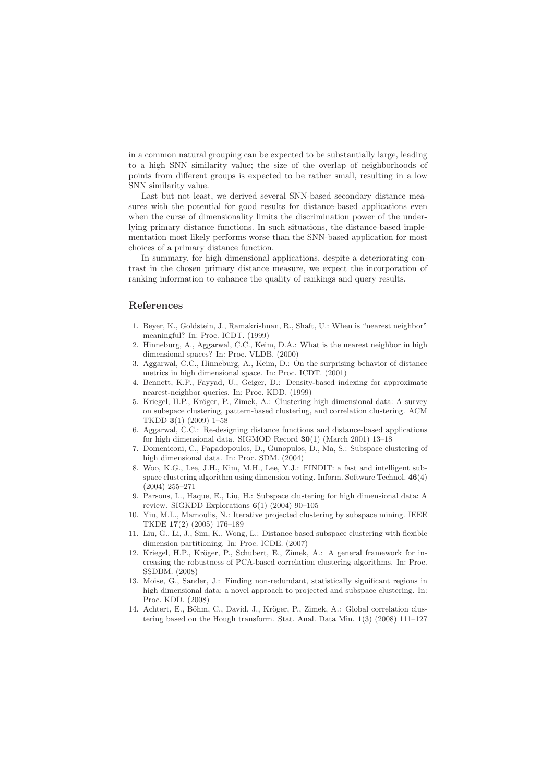in a common natural grouping can be expected to be substantially large, leading to a high SNN similarity value; the size of the overlap of neighborhoods of points from different groups is expected to be rather small, resulting in a low SNN similarity value.

Last but not least, we derived several SNN-based secondary distance measures with the potential for good results for distance-based applications even when the curse of dimensionality limits the discrimination power of the underlying primary distance functions. In such situations, the distance-based implementation most likely performs worse than the SNN-based application for most choices of a primary distance function.

In summary, for high dimensional applications, despite a deteriorating contrast in the chosen primary distance measure, we expect the incorporation of ranking information to enhance the quality of rankings and query results.

# **References**

- 1. Beyer, K., Goldstein, J., Ramakrishnan, R., Shaft, U.: When is "nearest neighbor" meaningful? In: Proc. ICDT. (1999)
- 2. Hinneburg, A., Aggarwal, C.C., Keim, D.A.: What is the nearest neighbor in high dimensional spaces? In: Proc. VLDB. (2000)
- 3. Aggarwal, C.C., Hinneburg, A., Keim, D.: On the surprising behavior of distance metrics in high dimensional space. In: Proc. ICDT. (2001)
- 4. Bennett, K.P., Fayyad, U., Geiger, D.: Density-based indexing for approximate nearest-neighbor queries. In: Proc. KDD. (1999)
- 5. Kriegel, H.P., Kröger, P., Zimek, A.: Clustering high dimensional data: A survey on subspace clustering, pattern-based clustering, and correlation clustering. ACM TKDD **3**(1) (2009) 1–58
- 6. Aggarwal, C.C.: Re-designing distance functions and distance-based applications for high dimensional data. SIGMOD Record **30**(1) (March 2001) 13–18
- 7. Domeniconi, C., Papadopoulos, D., Gunopulos, D., Ma, S.: Subspace clustering of high dimensional data. In: Proc. SDM. (2004)
- 8. Woo, K.G., Lee, J.H., Kim, M.H., Lee, Y.J.: FINDIT: a fast and intelligent subspace clustering algorithm using dimension voting. Inform. Software Technol. **46**(4) (2004) 255–271
- 9. Parsons, L., Haque, E., Liu, H.: Subspace clustering for high dimensional data: A review. SIGKDD Explorations **6**(1) (2004) 90–105
- 10. Yiu, M.L., Mamoulis, N.: Iterative projected clustering by subspace mining. IEEE TKDE **17**(2) (2005) 176–189
- 11. Liu, G., Li, J., Sim, K., Wong, L.: Distance based subspace clustering with flexible dimension partitioning. In: Proc. ICDE. (2007)
- 12. Kriegel, H.P., Kröger, P., Schubert, E., Zimek, A.: A general framework for increasing the robustness of PCA-based correlation clustering algorithms. In: Proc. SSDBM. (2008)
- 13. Moise, G., Sander, J.: Finding non-redundant, statistically significant regions in high dimensional data: a novel approach to projected and subspace clustering. In: Proc. KDD. (2008)
- 14. Achtert, E., Böhm, C., David, J., Kröger, P., Zimek, A.: Global correlation clustering based on the Hough transform. Stat. Anal. Data Min. **1**(3) (2008) 111–127